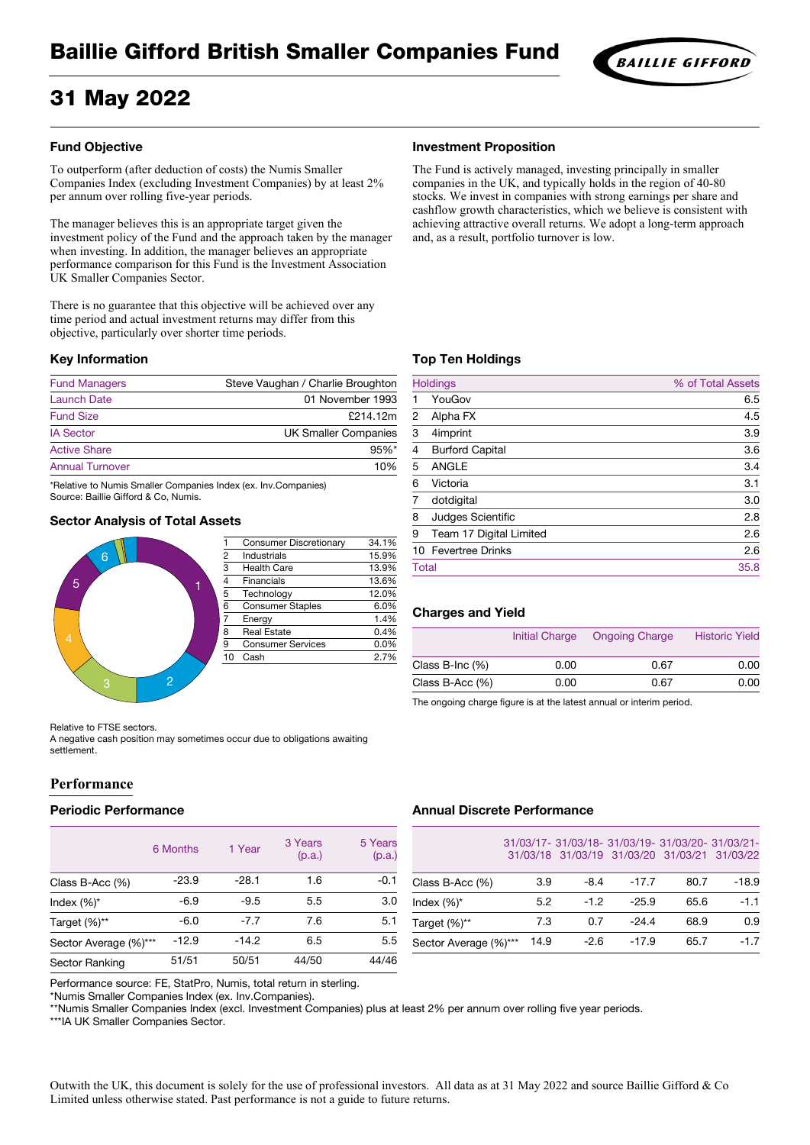# Baillie Gifford British Smaller Companies Fund

# 31 May 2022

# **BAILLIE GIFFORD**

# **Fund Objective**

To outperform (after deduction of costs) the Numis Smaller Companies Index (excluding Investment Companies) by at least 2% per annum over rolling five-year periods.

The manager believes this is an appropriate target given the investment policy of the Fund and the approach taken by the manager when investing. In addition, the manager believes an appropriate performance comparison for this Fund is the Investment Association UK Smaller Companies Sector.

There is no guarantee that this objective will be achieved over any time period and actual investment returns may differ from this objective, particularly over shorter time periods.

#### **Key Information**

| <b>Fund Managers</b>   | Steve Vaughan / Charlie Broughton |
|------------------------|-----------------------------------|
| <b>Launch Date</b>     | 01 November 1993                  |
| <b>Fund Size</b>       | £214.12m                          |
| <b>IA Sector</b>       | <b>UK Smaller Companies</b>       |
| <b>Active Share</b>    | $95%$ *                           |
| <b>Annual Turnover</b> | 10%                               |
|                        |                                   |

\*Relative to Numis Smaller Companies Index (ex. Inv.Companies) Source: Baillie Gifford & Co, Numis.

# **Sector Analysis of Total Assets**



| 1              | <b>Consumer Discretionary</b> | 34.1% |
|----------------|-------------------------------|-------|
| $\frac{2}{3}$  | <b>Industrials</b>            | 15.9% |
|                | <b>Health Care</b>            | 13.9% |
| $\frac{4}{5}$  | <b>Financials</b>             | 13.6% |
|                | Technology                    | 12.0% |
| $rac{6}{7}$    | <b>Consumer Staples</b>       | 6.0%  |
|                | Energy                        | 1.4%  |
| $\overline{8}$ | <b>Real Estate</b>            | 0.4%  |
| $\overline{9}$ | <b>Consumer Services</b>      | 0.0%  |
| 10             | Cash                          | 2.7%  |
|                |                               |       |

#### **Investment Proposition**

The Fund is actively managed, investing principally in smaller companies in the UK, and typically holds in the region of 40-80 stocks. We invest in companies with strong earnings per share and cashflow growth characteristics, which we believe is consistent with achieving attractive overall returns. We adopt a long-term approach and, as a result, portfolio turnover is low.

# **Top Ten Holdings**

|              | <b>Holdings</b>          | % of Total Assets |
|--------------|--------------------------|-------------------|
|              | YouGov                   | 6.5               |
| 2            | Alpha FX                 | 4.5               |
| 3            | 4imprint                 | 3.9               |
| 4            | <b>Burford Capital</b>   | 3.6               |
| 5            | <b>ANGLE</b>             | 3.4               |
| 6            | Victoria                 | 3.1               |
|              | dotdigital               | 3.0               |
| 8            | <b>Judges Scientific</b> | 2.8               |
| 9            | Team 17 Digital Limited  | 2.6               |
|              | 10 Fevertree Drinks      | 2.6               |
| <b>Total</b> |                          | 35.8              |

# **Charges and Yield**

|                       | <b>Initial Charge</b> | <b>Ongoing Charge</b> | <b>Historic Yield</b> |
|-----------------------|-----------------------|-----------------------|-----------------------|
| Class B-Inc $(\%)$    | 0.00                  | 0.67                  | 0.00                  |
| Class $B$ -Acc $(\%)$ | 0.00                  | 0.67                  | 0.00                  |

The ongoing charge figure is at the latest annual or interim period.

Relative to FTSE sectors.

A negative cash position may sometimes occur due to obligations awaiting settlement.

# **Performance**

#### **Periodic Performance**

|                       | 6 Months | 1 Year  | 3 Years<br>(p.a.) | 5 Years<br>(p.a.) |
|-----------------------|----------|---------|-------------------|-------------------|
| Class B-Acc $(\%)$    | $-23.9$  | $-28.1$ | 1.6               | $-0.1$            |
| Index $(\%)^*$        | $-6.9$   | $-9.5$  | 5.5               | 3.0               |
| Target (%)**          | $-6.0$   | $-7.7$  | 7.6               | 5.1               |
| Sector Average (%)*** | $-12.9$  | $-14.2$ | 6.5               | 5.5               |
| <b>Sector Ranking</b> | 51/51    | 50/51   | 44/50             | 44/46             |

# **Annual Discrete Performance**

|                       |      |        | 31/03/17-31/03/18-31/03/19-31/03/20-31/03/21-<br>31/03/18 31/03/19 31/03/20 31/03/21 31/03/22 |      |         |
|-----------------------|------|--------|-----------------------------------------------------------------------------------------------|------|---------|
| Class B-Acc $(\%)$    | 3.9  | $-8.4$ | $-17.7$                                                                                       | 80.7 | $-18.9$ |
| Index $(\%)^*$        | 5.2  | $-1.2$ | $-25.9$                                                                                       | 65.6 | $-1.1$  |
| Target (%)**          | 7.3  | 0.7    | $-24.4$                                                                                       | 68.9 | 0.9     |
| Sector Average (%)*** | 14.9 | $-2.6$ | $-17.9$                                                                                       | 65.7 | $-1.7$  |

Performance source: FE, StatPro, Numis, total return in sterling.

\*Numis Smaller Companies Index (ex. Inv.Companies).

\*\*Numis Smaller Companies Index (excl. Investment Companies) plus at least 2% per annum over rolling five year periods.

\*\*\*IA UK Smaller Companies Sector.

Outwith the UK, this document is solely for the use of professional investors. All data as at 31 May 2022 and source Baillie Gifford & Co Limited unless otherwise stated. Past performance is not a guide to future returns.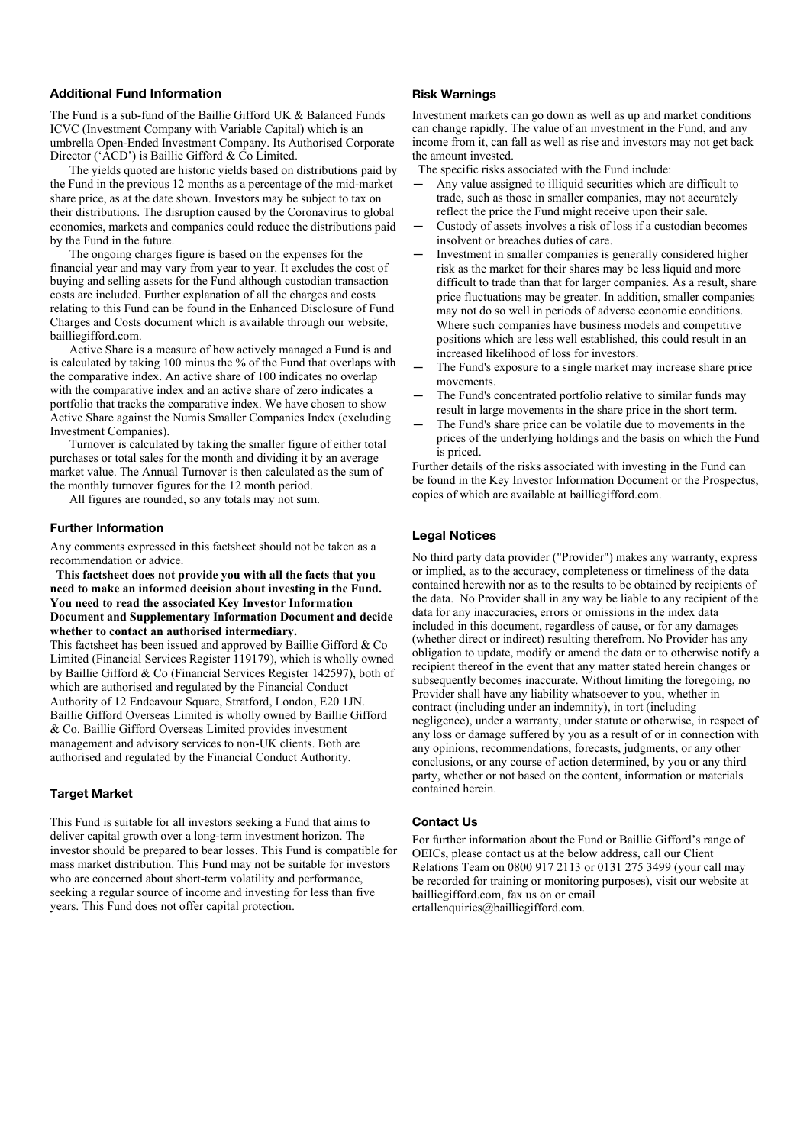# **Additional Fund Information**

The Fund is a sub-fund of the Baillie Gifford UK & Balanced Funds ICVC (Investment Company with Variable Capital) which is an umbrella Open-Ended Investment Company. Its Authorised Corporate Director ('ACD') is Baillie Gifford & Co Limited.

The yields quoted are historic yields based on distributions paid by the Fund in the previous 12 months as a percentage of the mid-market share price, as at the date shown. Investors may be subject to tax on their distributions. The disruption caused by the Coronavirus to global economies, markets and companies could reduce the distributions paid by the Fund in the future.

The ongoing charges figure is based on the expenses for the financial year and may vary from year to year. It excludes the cost of buying and selling assets for the Fund although custodian transaction costs are included. Further explanation of all the charges and costs relating to this Fund can be found in the Enhanced Disclosure of Fund Charges and Costs document which is available through our website, [bailliegifford.com.](http://www.bailliegifford.com/)

Active Share is a measure of how actively managed a Fund is and is calculated by taking 100 minus the % of the Fund that overlaps with the comparative index. An active share of 100 indicates no overlap with the comparative index and an active share of zero indicates a portfolio that tracks the comparative index. We have chosen to show Active Share against the Numis Smaller Companies Index (excluding Investment Companies).

Turnover is calculated by taking the smaller figure of either total purchases or total sales for the month and dividing it by an average market value. The Annual Turnover is then calculated as the sum of the monthly turnover figures for the 12 month period.

All figures are rounded, so any totals may not sum.

#### **Further Information**

Any comments expressed in this factsheet should not be taken as a recommendation or advice.

 **This factsheet does not provide you with all the facts that you need to make an informed decision about investing in the Fund. You need to read the associated Key Investor Information Document and Supplementary Information Document and decide whether to contact an authorised intermediary.**

This factsheet has been issued and approved by Baillie Gifford & Co Limited (Financial Services Register 119179), which is wholly owned by Baillie Gifford & Co (Financial Services Register 142597), both of which are authorised and regulated by the Financial Conduct Authority of 12 Endeavour Square, Stratford, London, E20 1JN. Baillie Gifford Overseas Limited is wholly owned by Baillie Gifford & Co. Baillie Gifford Overseas Limited provides investment management and advisory services to non-UK clients. Both are authorised and regulated by the Financial Conduct Authority.

# **Target Market**

This Fund is suitable for all investors seeking a Fund that aims to deliver capital growth over a long-term investment horizon. The investor should be prepared to bear losses. This Fund is compatible for mass market distribution. This Fund may not be suitable for investors who are concerned about short-term volatility and performance, seeking a regular source of income and investing for less than five years. This Fund does not offer capital protection.

# **Risk Warnings**

Investment markets can go down as well as up and market conditions can change rapidly. The value of an investment in the Fund, and any income from it, can fall as well as rise and investors may not get back the amount invested.

The specific risks associated with the Fund include:

- Any value assigned to illiquid securities which are difficult to trade, such as those in smaller companies, may not accurately reflect the price the Fund might receive upon their sale.
- Custody of assets involves a risk of loss if a custodian becomes insolvent or breaches duties of care.
- Investment in smaller companies is generally considered higher risk as the market for their shares may be less liquid and more difficult to trade than that for larger companies. As a result, share price fluctuations may be greater. In addition, smaller companies may not do so well in periods of adverse economic conditions. Where such companies have business models and competitive positions which are less well established, this could result in an increased likelihood of loss for investors.
- The Fund's exposure to a single market may increase share price movements.
- The Fund's concentrated portfolio relative to similar funds may result in large movements in the share price in the short term.
- The Fund's share price can be volatile due to movements in the prices of the underlying holdings and the basis on which the Fund is priced.

Further details of the risks associated with investing in the Fund can be found in the Key Investor Information Document or the Prospectus, copies of which are available at bailliegifford.com.

# **Legal Notices**

No third party data provider ("Provider") makes any warranty, express or implied, as to the accuracy, completeness or timeliness of the data contained herewith nor as to the results to be obtained by recipients of the data. No Provider shall in any way be liable to any recipient of the data for any inaccuracies, errors or omissions in the index data included in this document, regardless of cause, or for any damages (whether direct or indirect) resulting therefrom. No Provider has any obligation to update, modify or amend the data or to otherwise notify a recipient thereof in the event that any matter stated herein changes or subsequently becomes inaccurate. Without limiting the foregoing, no Provider shall have any liability whatsoever to you, whether in contract (including under an indemnity), in tort (including negligence), under a warranty, under statute or otherwise, in respect of any loss or damage suffered by you as a result of or in connection with any opinions, recommendations, forecasts, judgments, or any other conclusions, or any course of action determined, by you or any third party, whether or not based on the content, information or materials contained herein.

#### **Contact Us**

For further information about the Fund or Baillie Gifford's range of OEICs, please contact us at the below address, call our Client Relations Team on 0800 917 2113 or 0131 275 3499 (your call may be recorded for training or monitoring purposes), visit our website at bailliegifford.com, fax us on or email [crtallenquiries@bailliegifford.com.](mailto:crtallenquiries@bailliegifford.com)